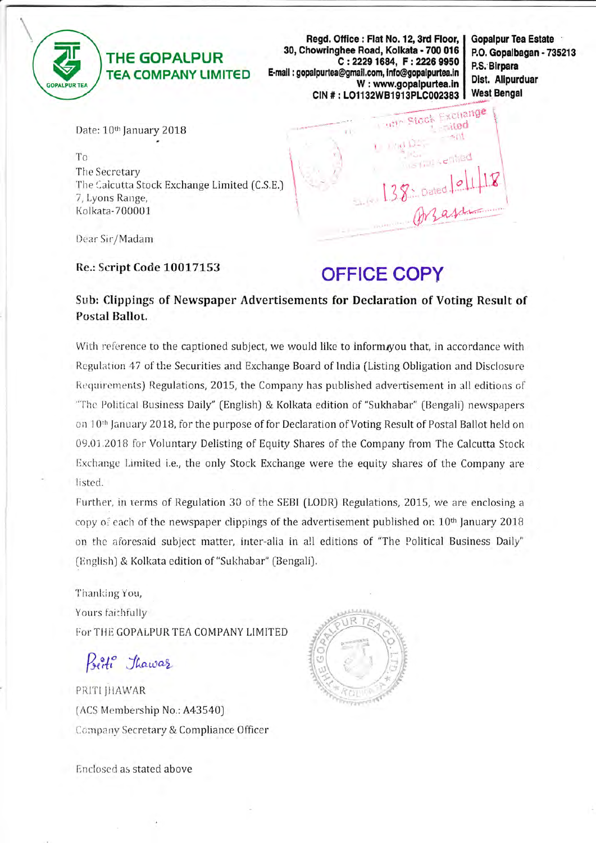

## **THE GOPALPUR TEA COMPANY LIMITED**

Regd. Office: Flat No. 12, 3rd Floor, 30, Chowringhee Road, Kolkata - 700 016 C: 2229 1684, F: 2226 9950 E-mail: gopalpurtea@gmail.com, info@gopalpurtea.in W: www.gopalpurtea.in CIN #: LO1132WB1913PLC002383 **Gopalpur Tea Estate** P.O. Gopalbagan - 735213 P.S. Birpara Dist. Alipurduar **West Bengal** 

Exchange

**Sited** 

is this verified

Stock

**TRIBE** 

Date: 10th January 2018

To The Secretary The Calcutta Stock Exchange Limited (C.S.E.) 7, Lyons Range, Kolkata-700001

Dear Sir/Madam

Re.: Script Code 10017153

## **OFFICE COPY**

Sub: Clippings of Newspaper Advertisements for Declaration of Voting Result of Postal Ballot.

With reference to the captioned subject, we would like to inform, you that, in accordance with Regulation 47 of the Securities and Exchange Board of India (Listing Obligation and Disclosure Requirements) Regulations, 2015, the Company has published advertisement in all editions of "The Political Business Daily" (English) & Kolkata edition of "Sukhabar" (Bengali) newspapers on 10<sup>th</sup> January 2018, for the purpose of for Declaration of Voting Result of Postal Ballot held on 09.01.2018 for Voluntary Delisting of Equity Shares of the Company from The Calcutta Stock Exchange Limited i.e., the only Stock Exchange were the equity shares of the Company are listed.

Further, in terms of Regulation 30 of the SEBI (LODR) Regulations, 2015, we are enclosing a copy of each of the newspaper clippings of the advertisement published on 10th January 2018 on the aforesaid subject matter, inter-alia in all editions of "The Political Business Daily" (English) & Kolkata edition of "Sukhabar" (Bengali).

Thanking You, Yours faithfully For THE GOPALPUR TEA COMPANY LIMITED

Poeti Thawar

PRITI JHAWAR (ACS Membership No.: A43540) Company Secretary & Compliance Officer



Enclosed as stated above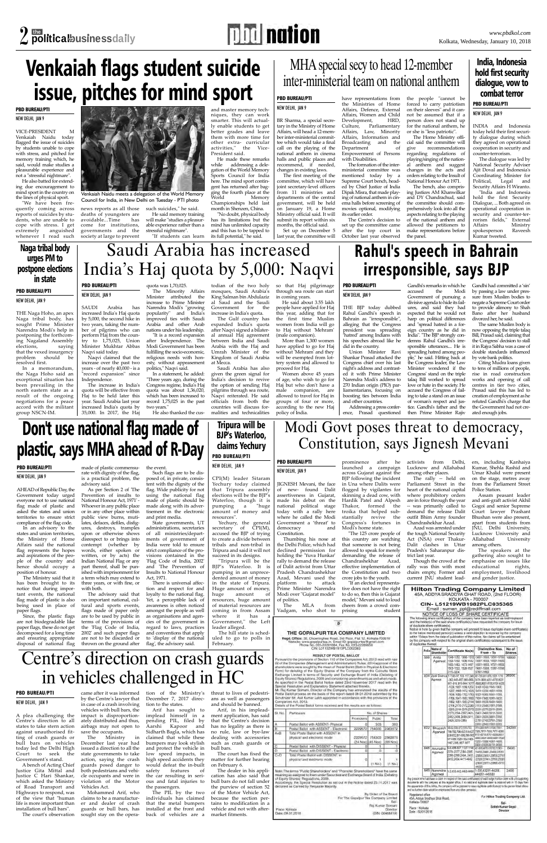

## **PBD BUREAU/PTI**

NEW DELHI, JAN 9 VICE-PRESIDENT M

"We have been frequently coming across reports of suicides by students, who are unable to cope with stress. I get anguished whenever I read such

Venkaiah Naidu today flagged the issue of suicides by students unable to cope with stress, and pitched for memory training which, he said, would make studies a pleasurable experience and not a "stressful nightmare".

He also batted for extending due encouragement to mind sport in the country on the lines of physical sport.

He made these remarks<br>while addressing a deleaddressing a delegation of the World Memory Sports Council for India here. The mind sport contingent has returned after bagging the fourth place at the World Memory Championships held last month in Shenzen, China.

news reports as all those deaths of youngsters are<br>avoidable...Time has avoidable...Time come for institutions, governments and the society at large to prevent

such suicides," he said. He said memory training will make "studies a pleasurable experience rather than a

stressful nightmare". "If students can learn

and master memory techniques, they can work smarter. This will actually enable students to get better grades and leave them with more time for other extra- curricular<br>activities," the Vicethe Vice-President said.

Ministry in December last year had issued a direction to all the state governments to take action, saying the crash guards posed danger to both pedestrians and vehicle occupants and were in violation of the Motor Vehicles Act.

"No doubt, physical body has its limitations but the mind has unlimited capacity and this has to be tapped to its full potential," he said.

## Venkaiah flags student suicide issue, pitches for mind sport

## **PBD BUREAU/PTI**

### NEW DELHI, JAN 9

A plea challenging the Centre's direction to all states to take stern action against unauthorised fitting of crash guards or bull bars on vehicles today led the Delhi High Court to seek the Government's stand.

A bench of Acting Chief Justice Gita Mittal and Justice C Hari Shankar, which asked the Ministry of Road Transport and Highways to respond, was of the view that "human life is more important than installation of bull bars".

The court's observation

came after it was informed by the Centre's lawyer that in case of a crash involving

vehicles with bull bars, the impact is disproportionately distributed and thus, airbags may not open to

Mohammed Arif, who claims to be a manufacturer and dealer of crash guards or bull bars, has sought stay on the opera-

tion of the Ministry's December 7, 2017 direc-

tion to the states.

save the occupants.<br>The Ministry

Arif has sought to implead himself in a pending PIL, filed by Aarshi Kapoor and Sidharth Bagla, which has claimed that while these bumpers may look stylish

and protect the vehicle in low speed impacts, in high speed accidents they would defeat the in-built safety features of

the car resulting in serious and fatal injuries to the passengers.

The PIL by the two individuals has claimed that the metal bumpers installed at the front and back of vehicles are a

threat to lives of pedestrians as well as passengers and should be banned.

Arif, in his impleadment application, has said that the Centre's decision has no legality as there is no rule, law or bye-law dealing with accessories such as crash guards or bull bars.

The court has fixed the matter for further hearing on February 6.

Prevention of insults National Honour Act, 1971' - Whoever in any public place or in any other place within public view burns, mutilates, defaces, defiles, disfigures, destroys, tramples upon or otherwise shows disrespect to or brings into contempt (whether by words, either spoken or written, or by acts) the Indian National Flag or any part thereof, shall be punished with imprisonment for a term which may extend to

> The dealer in his application has also said that bull bars do not fall under the purview of section 52 of the Motor Vehicle Act, because the section pertains to modification in a vehicle and not with aftermarket fitments.

## Centre's direction on crash guards in vehicles challenged in HC

## **PBD BUREAU/PTI**

NEW DELHI, JAN 9

using the national made of plastic should be made along with its advertisement in the electronic and print media.

BR Sharma, a special secretary in the Ministry of Home Affairs, will head a 12-member inter-ministerial committee which would take a final call on the playing of the national anthem in cinema halls and public places and recommend, if needed, changes in existing laws.

The first meeting of the committee, which will have joint secretary-level officers from 11 ministries and departments of the central government, will be held on January 19, a Home Ministry official said. It will submit its report within six

months, the official said. Set up on December 5 last year, the committee will have representations from

the Ministries of Home Affairs, Defence, External Affairs, Women and Child<br>Development. HRD. Development, Culture, Parliamentary Affairs, Law, Minority Affairs, Information and Broadcasting and the Department of Empowerment of Persons with Disabilities.

The formation of the interministerial committee was mentioned today by a Supreme Court bench, headed by Chief Justice of India Dipak Misra, that made playing of national anthem in cinema halls before screening of movies optional, modifying its earlier order.

The Centre's decision to set up the committee came after the top court in October last year observed the people "cannot be forced to carry patriotism

have applied to go for Haj without 'Mehram' and they will be exempted from lottery system and allowed to proceed for Haj. Women above 45 years

person does not stand up for the national anthem, he or she is "less patriotic". The Home Ministry official said the committee will give recommendations regarding regulations of

National Honour Act 1971.

the panel.

## MHA special secy to head 12-member inter-ministerial team on national anthem

### **PBD BUREAU/PTI**

NEW DELHI, JAN 9

AHEAD of Republic Day, the Government today urged everyone not to use national flag made of plastic and asked the states and union territories to ensure strict compliance of the flag code.

In an advisory to the states and union territories, the Ministry of Home Affairs said the national flag represents the hopes and aspirations of the people of the country and hence should occupy a position of honour.

The Ministry said that it has been brought to its notice that during important events, the national flag made of plastic is also being used in place of paper flags.

Since, the plastic flags are not biodegradable like paper flags, these do not get decomposed for a long time and ensuring appropriate disposal of national flag made of plastic commensurate with dignity of the flag, is a practical problem, the

advisory said.

JIGNESH Mevani, the face of new- found Dalit assertiveness in Gujarat, made his debut on the national political stage today with a rally here where he called the Modi Government a 'threat' to democracy and Constitution. Thumbing his nose at the Delhi Police, which had declined permission for holding the 'Yuva Hunkar' rally to demand the release of Dalit activist from Uttar Pradesh Chandrashekhar Azad, Mevani used the platform to attack Prime Minister Narendra Modi over "Gujarat model" Chandrashekhar Azad, effective implementation of the Constitution and two crore jobs to the youth. tive does not have the right to do so, then this is Guja

As per Section 2 of 'The flag. Wide publicity for not Such flags are to be disposed of, in private, consistent with the dignity of the

> of politics. MLA from Vadgam, who shot to model," Mevani said to lo cheers from a crowd comprising stud

> > $\overline{5}$

### THE GOPALPUR TEA COMPANY LIMITED

Regd. Office: 30, Chowringhee Road, 3rd Floor, Flat 12, Kolkata-700016<br>Website: www.gopalpurtea.m, Email ID: gopalpurtea@gmail.com<br>Phone No. 033-22291684, Fax No. 033-22269950<br>CIN: L01132WB1913PLC002383

RESULT OF POSTAL BALLOT<br>Pursuant to the provisions of Section 110 of the Companies Act, 2013 read with r 22 of the Companies (Management and Administration) Rules, 2014 approval of t the medicine is understanding the mean of Postal Ballot (Both in Physical & Electron<br>Form) for delisting of the Equity Shares of the Company from the Calculta Sto Exchange Limited in terms of Security and Exchange Board of India (Delisting Equity Shares) Regulations, 2009 and considering amendments as and when may<br>As specified in the Postal Ballot Notice dated 23rd November 2017 read with 1 Special Resolution and Explanatory Statement attached thereto.

Mr. Raj Kumar Somani, Director of the Company has announced the results of the Postal Ballot process on the basis of the report dated 09.01.2018 submitted by the Scrutinizer Mr. Asit Kumar Labh appointed in accordance with the provisions of t Companies Act, 2013.<br>Details of the Postal Ballot forms received and the results are as follows:

| SI No.  | <b>Particulars</b>                                                  | No. of Shares |                                    |                       |  |  |  |
|---------|---------------------------------------------------------------------|---------------|------------------------------------|-----------------------|--|--|--|
|         |                                                                     | Promoters     | Public                             | Total                 |  |  |  |
|         | Postal Ballot with ASSENT- Physical                                 |               | 303                                | 303                   |  |  |  |
| R       | Postal Ballot with ASSENT - Electronic                              | 2229572       | 754000                             | 2983572               |  |  |  |
| $A + B$ | Total Postal Ballot with ASSENT in<br>physical and electronic mode  | 2229572       | 754303<br>$(24$ Nos $)(45$ Nos $)$ | 2983875<br>$(69$ Nos) |  |  |  |
|         | Postal Ballot with DISSENT - Physical                               |               |                                    |                       |  |  |  |
| n       | Postal Ballot with DISSENT - Electronic                             |               | Λ                                  | Ω                     |  |  |  |
| $C+D$   | Total Postal Ballot with DISSENT in<br>physical and electronic mode | Ю             | (1 No.)                            | (1 No                 |  |  |  |

of Equity Shares) Regulations, 2009. Accordingly, the Special Resolution as set out in the Notice dated 23.11.2017 will declared as Carried by Requisite Majority.

|                  | By Order of the Board<br>For The Gopalpur Tea Company Limited |
|------------------|---------------------------------------------------------------|
|                  | Sd/-                                                          |
|                  | Raj Kumar Somani                                              |
| Place: Kolkata   | Director                                                      |
| Date: 09.01.2018 | (DIN: 00466419)                                               |

three years, or with fine, or with both. The advisory said that on important national, cultural and sports events, flags made of paper only are to be used by public in terms of the provisions of the 'Flag Code of India, 2002' and such paper flags

are not to be discarded or thrown on the ground after

the event.

kinning a dead cow, with Hardik Patel and Alpesh<br>Thakor. formed the Thakor, formed troika that helped substantially revive the Congress's fortunes in Modi's home state. where prohibitory orders are in force through the year -- was primarily called to demand the release Dalit outfit Bhim Army founder Chandrashekhar Azad. Azad was arrested under

> Place Kolkata Date: 02/01/2018

State governments, UT administrations, secretaries of all ministries/departments of government of India were told to ensure strict compliance of the provisions contained in the 'Flag Code of India, 2002' and 'The Prevention of Insults to National Honour Act, 1971.

Assam peasant leade and anti-graft activist Akhil

There is universal affection and respect for and loyalty to the national flag. Yet, a perceptible lack of awareness is often noticed amongst the people as well as organisations and agencies of the government in regard to laws, practices and conventions that apply to 'display of the national flag', the advisory said.

Yechury, the general secretary of CPI(M), accused the BJP of trying to create a divide between tribals and non-tribal in Tripura and said it will not succeed in its designs.

## Don't use national flag made of plastic, says MHA ahead of R-Day

### **PBD BUREAU/PTI**

## NEW DELHI, JAN 9

SAUDI Arabia has increased India's Haj quota by 5,000, the second hike in two years, taking the number of pilgrims who can perform Haj from the coun $try$  to  $1,75,025$ , Union Minister Mukhtar Abbas

Naqvi said today. Naqvi claimed that the increase over the past two years - of nearly 40,000 - is a "record expansion" since

Independence. The increase in India's quota will be effective from Haj to be held later this year. Saudi Arabia last year increased India's quota by 35,000. In 2017, the Haj

quota was 1,70,025.

Narendra Modi's "growing popularity" and India's

#### on their sleeves" and it cannot be assumed that if a NEW DELHI, JAN 9

politics," Naqvi said.

The Minority Affairs Minister attributed the increase to Prime Minister todian of the two holy mosques, Saudi Arabia's King Salman bin Abdulaziz al Saud and the Saudi Government for the increase in India's quota. The Gulf country has

playing/singing of the national anthem and suggest changes in the acts and orders relating to the Insult of The bench, also compris-The dialogue was led by National Security Adviser Ajit Doval and Indonesia's Coordinating Minister for Political, Legal and

improved ties with Saudi Arabia and other Arab nations under his leadership. "It is a record expansion after Independence. The Modi Government has been fulfilling the socio-economic, religious needs with honesty, without appeasement expanded India's quota after Naqvi signed a bilateral annual Haj agreement between India and Saudi Arabia with the Haj and Umrah Minister of the Kingdom of Saudi Arabia at Mecca.

two years."

ing Justices AM Khanwilkar and DY Chandrachud, said the committee should comprehensively look into all the aspects relating to the playing of the national anthem and allowed the petitioners to make representations before Security Affairs H Wiranto. "India and Indonesia hold the first Security Dialogue, ... Both agreed on operational cooperation in security and counter-terrorism fields," External Affairs Ministry<br>spokesperson Raveesh spokesperson Kumar tweeted.

In a statement, he added: "Three years ago, during the Congress regime, India's Haj quota was about 1,36,020, which has been increased to record 1,75,025 in the past He also thanked the cus-Saudi Arabia has also given the green signal for India's decision to revive the option of sending Haj pilgrims through sea route, Naqvi reiterated. He said officials from both the countries will discuss formalities and technicalities

so that Haj pilgrimage through sea route can start in coming years.

He said about 3.55 lakh people have applied for Haj this year, adding that for the first time Muslim women from India will go

to Haj without 'Mehram' (male companion). More than 1,300 women

of age, who wish to go for Haj but who don't have a male companion, are allowed to travel for Haj in groups of four or more, according to the new Haj policy of India.

## Saudi Arabia has increased India's Haj quota by 5,000: Naqvi

## **PBD BUREAU/PTI**

NEW DELHI, JAN 9

THE BJP today dubbed Rahul Gandhi's speech in Bahrain as "irresponsible", alleging that the Congress president was spreading 'hatred' among Indians with his speeches abroad like he did in the country.

Union Minister Ravi Shankar Prasad attacked the Congress chief over his last night's address and contrasted it with Prime Minister Narendra Modi's address to 270 Indian origin (PIO) parliamentarians, focusing on boosting ties between India and other countries.

Addressing a press conference, Prasad questioned tice. Gandhi's father and the then Prime Minister Rajiv

and "spread hatred in a foreign country as he did in India". "The BJP strongly condemns Rahul Gandhi's irresponsible utterances.... He is spreading hatred among people," he said. Hitting back at the Congress leader, the Law Minister wondered if the Congress' stand on the triple talaq Bill worked to spread love or hate in the society. He accused the Congress of failing to take a stand on an issue of woman's respect and jus-

Gandhi's remarks in which he accused the Modi Government of pursuing a divisive agenda to hide its failures, and said they had expected that he would not harp on political differences Gandhi had committed a 'sin' by passing a law under pressure from Muslim bodies to negate a Supreme Court order to provide alimony to Shah Bano after her husband divorced her, he said. irresponsible, says BJP

The same Muslim body is now opposing the triple talaq Bill, Prasad said, claiming that the Congress' decision to stall it in Rajya Sabha was a case of double standards influenced by vote bank politics.

Citing Mudra loans given to tens of millions of people, rise in road construction works and opening of call centres in tier two cities, Prasad said this has led to creation of employment as he refuted Gandhi's charge that the Government had not created enough jobs.

Rahul's speech in Bahrain

## **PBD BUREAU/PTI**

NEW DELHI, JAN 9

THE Naga Hoho, an apex Naga tribal body, has sought Prime Minister Narendra Modi's help in postponing the forthcoming Nagaland Assembly<br>elections, saying elections, saying that the vexed insurgency problem should be resolved first.

In a memorandum, the Naga Hoho said an exceptional situation has been prevailing in the north eastern state as a result of the ongoing negotiations for a peace accord with the militant group NSCN-IM.



## Naga tribal body urges PM to postpone elections in state

INDIA and Indonesia today held their first security dialogue during which they agreed on operational cooperation in security and counter-terrorism.

**PBD BUREAU/PTI** India, Indonesia hold first security dialogue, vow to combat terror

Venkaiah Naidu meets a delegation of the World Memory Council for India, in New Delhi on Tuesday - PTI photo

## **PBD BUREAU/PTI**

prominence after he activists from Delhi, launched a campaign across Gujarat against the BJP following the incident in Una where Dalits were flogged by vigilantes for

"If an elected representa-

NEW DELHI, JAN 9 CPI(M) leader Sitaram Yechury today claimed that Tripura assembly elections will be the BJP's

> "The 125 crore people of this country are watching that someone is not being allowed to speak for merely demanding the release of the tough National Security Act (NSA) over Thakur-Dalit clashes in Uttar Pradesh's Saharanpur district last year.

Lucknow and Allahabad among other places. The rally -- held on Parliament Street in the heart of the national capital Police Station. ers, including Kanhaiya

Though the crowd at the rally was thin with most chairs empty, Former and current JNU student lead-

Kumar, Shehla Rashid and Umar Khalid were present on the stage, metres away from the Parliament Street

Gogoi and senior Supreme Court lawyer Prashant Bhushan were also present, apart from students from JNU, Delhi University, Lucknow University and Allahabad University among others. The speakers at the

gathering also sought to emphasise on issues like<br>educational rights, educational employment, livelihood and gender justice.

Satish Kumar Goyal

|                        |       | of duplicate share certificate(s). |                                                                                                                                                                                                                                            | NOTICE OF LOSS OF SHARE CERTIFICATE<br>The following share certificate(s) of the company have been reported as lost/misplaced<br>and the holder(s) of the said share certificate(s) have requested the company for issue<br>Notice is here by given that the company will proceed to issue duplicate share certificate(s<br>to the below mentioned person(s) unless a valid objection is recevied by the company                                                                                                                                   |                        |
|------------------------|-------|------------------------------------|--------------------------------------------------------------------------------------------------------------------------------------------------------------------------------------------------------------------------------------------|----------------------------------------------------------------------------------------------------------------------------------------------------------------------------------------------------------------------------------------------------------------------------------------------------------------------------------------------------------------------------------------------------------------------------------------------------------------------------------------------------------------------------------------------------|------------------------|
| of duplicates thereof. | Folio | Name of                            | Certificate No(s)                                                                                                                                                                                                                          | within 15days from the date of oublication of this notice. No claims will be entertained<br>by the company with respect to the original share certificate(s) subsequent to the issue<br><b>Distinctive Nos.</b>                                                                                                                                                                                                                                                                                                                                    | No of                  |
|                        | 589   | Shareholder<br>Anita<br>Agarwal    | 1348-1352 1368-1372<br>1393-1402 1438-1442<br>1453-1462 1473-1497<br>1503-1522 1528-1537<br>3115-3204                                                                                                                                      | From - To<br>134501-135000. 138501-137000<br>139301-140000, 143501-144000<br>145001-148000, 147001-149500<br>150001-152000, 152501-153500<br>307601-316600                                                                                                                                                                                                                                                                                                                                                                                         | <b>Shares</b><br>18000 |
|                        |       | Agarwal                            | 362,443-457,863-866.<br>901-910.916-944.1017<br>-1026.1187-1196.1250<br>-1257, 1468-1472, 1635<br>1638, 1699-1702.1763<br>-1766,1847-1850.1855<br>-1862, 1951-1953, 2164<br>2373,2394-2397,2401-<br>2402.2406.2408-2411.<br>2426.3205-3389 | 604 Jyoti Swarup 7-7,83-97,103-117,348 601-700,0201-9700,10201-11700<br>34701-36200.44201-45700.06201<br>-56600,90001-91000,91501-94350.<br>101451-102450 (1845)-119450<br>124701-125500, 146501-147000,<br>163201-163600,189801-170000,<br>176001-176400,183901-184250.<br>184601-189300, 194001-194300.<br>2166.2170-2172.2260 215151-215400.215651-215900.<br>2263, 2318-2319, 2372 223351-223750, 229151-229350,<br>234451-234600,236101-236200.<br>238401-256500.236901-237000.<br>237901-237400,237501-237500<br>209901-239400 310901-335050 | 36900                  |
|                        | 622   | Bhupesh<br>Agarwal                 | 38-62,558-572,723-732,<br>786-792.798-802.618-627<br>971-980.1328-1332.1402-<br>1407,2395,3657-3977                                                                                                                                        | 3701-6200.55701-57200.72201-<br>73200,78701-79200,79701-80200<br>838-852,881-890,896-900 81701-82700,83701-85200,88001<br>-89000;89501-90000:86901-97900<br>132501-133000.140001-140500<br>236201-236300,361751-393860                                                                                                                                                                                                                                                                                                                             | 24200                  |
|                        | 646   | Anuradha<br>Agarwal                | 5-6,498-507,1137-1146<br>2374-2377.2384-2385.<br>2398-2399,2404, 2407<br>2412.2434.4411-4442                                                                                                                                               | 491-600,49701-50700,113451-<br>114450.234601-234900.235351<br>-235500.236501-236700.237101<br>237200.237401-237500.237901<br>238000 239751-239600 437151<br>-440350                                                                                                                                                                                                                                                                                                                                                                                | 6400                   |
|                        |       | 649 Narendra<br>Agarwal            | 1-2,433-442,4463-4494 1-200,43201-44200.                                                                                                                                                                                                   | 444351-445550                                                                                                                                                                                                                                                                                                                                                                                                                                                                                                                                      | 2400                   |

## NEW DELHI, JAN 9

Waterloo, though it is pumping a amount of money and resources".

## Modi Govt poses threat to democracy, Constitution, says Jignesh Mevani Tripura will be

## **PBD BUREAU/PTI** BJP's Waterloo, claims Yechury

"Tripura will be the BJP's Waterloo. It is pumping in an unprecedented amount of money in the state of Tripura. Huge amount of money, huge amount of resources, huge amount of material resources are coming in from Assam where it has a Government," the Left leader alleged.

The hill state is scheduled to go to polls in February.